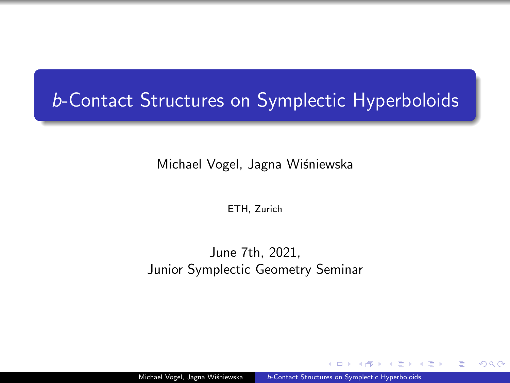# <span id="page-0-0"></span>b-Contact Structures on Symplectic Hyperboloids

Michael Vogel, Jagna Wiśniewska

ETH, Zurich

June 7th, 2021, Junior Symplectic Geometry Seminar

4 国 ド

目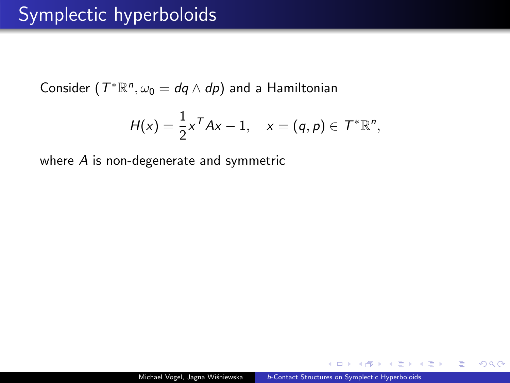Consider  $(T^*\mathbb{R}^n, \omega_0 = dq \wedge dp)$  and a Hamiltonian

$$
H(x)=\frac{1}{2}x^T A x - 1, \quad x=(q,p)\in \mathcal{T}^*\mathbb{R}^n,
$$

where A is non-degenerate and symmetric

 $\leftarrow$   $\Box$ 

君主 メモドル

 $\equiv$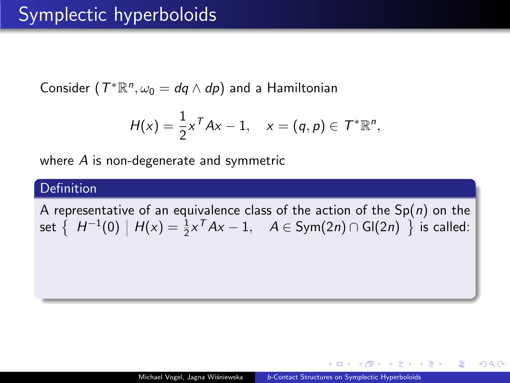Consider  $(T^*\mathbb{R}^n, \omega_0 = dq \wedge dp)$  and a Hamiltonian

$$
H(x)=\frac{1}{2}x^T A x - 1, \quad x=(q,p)\in \mathcal{T}^*\mathbb{R}^n,
$$

where A is non-degenerate and symmetric

#### Definition

A representative of an equivalence class of the action of the  $Sp(n)$  on the set  $\left\{\begin{array}{c|c} H^{-1}(0) & H(x) = \frac{1}{2}x^T Ax - 1, & A \in \text{Sym}(2n) \cap \text{Gl}(2n) \end{array}\right\}$  is called:

(国家) (4) 国家 (1)

目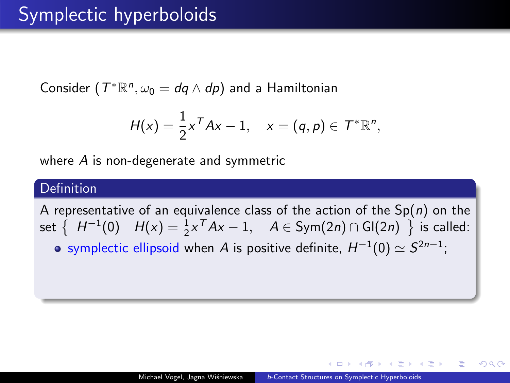Consider  $(T^*\mathbb{R}^n, \omega_0 = dq \wedge dp)$  and a Hamiltonian

$$
H(x)=\frac{1}{2}x^T A x - 1, \quad x=(q,p)\in \mathcal{T}^*\mathbb{R}^n,
$$

where A is non-degenerate and symmetric

#### Definition

A representative of an equivalence class of the action of the  $Sp(n)$  on the set  $\left\{\begin{array}{c|c} H^{-1}(0) & H(x) = \frac{1}{2}x^T Ax - 1, & A \in \text{Sym}(2n) \cap \text{Gl}(2n) \end{array}\right\}$  is called: symplectic ellipsoid when  $A$  is positive definite,  $H^{-1}(0) \simeq S^{2n-1};$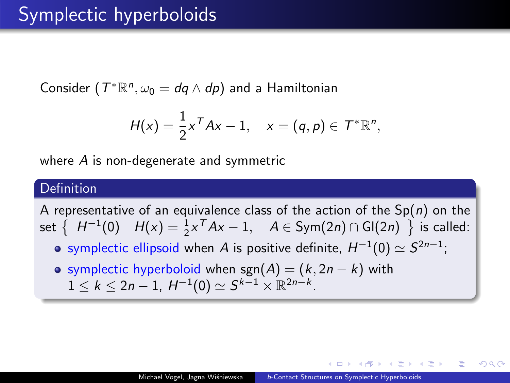Consider  $(T^*\mathbb{R}^n, \omega_0 = dq \wedge dp)$  and a Hamiltonian

$$
H(x)=\frac{1}{2}x^T A x - 1, \quad x=(q,p)\in \mathcal{T}^*\mathbb{R}^n,
$$

where A is non-degenerate and symmetric

### Definition

A representative of an equivalence class of the action of the  $Sp(n)$  on the set  $\left\{\begin{array}{c|c} H^{-1}(0) & H(x) = \frac{1}{2}x^T Ax - 1, & A \in \text{Sym}(2n) \cap \text{Gl}(2n) \end{array}\right\}$  is called:

- symplectic ellipsoid when  $A$  is positive definite,  $H^{-1}(0) \simeq S^{2n-1};$
- o symplectic hyperboloid when sgn(A) =  $(k, 2n k)$  with  $1 \leq k \leq 2n-1$ ,  $H^{-1}(0) \simeq S^{k-1} \times \mathbb{R}^{2n-k}$ .

k En kristian

G.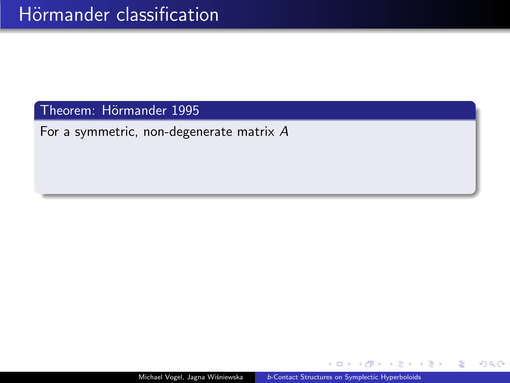For a symmetric, non-degenerate matrix A

 $\Box$ 

 $\rightarrow$   $\Rightarrow$   $\rightarrow$ 

 $\sim$ 

 $\equiv$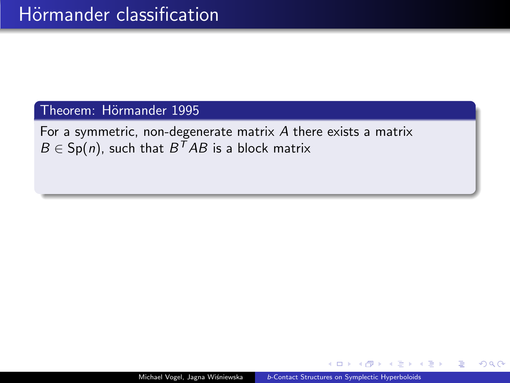For a symmetric, non-degenerate matrix A there exists a matrix  $B \in Sp(n)$ , such that  $B^TAB$  is a block matrix

重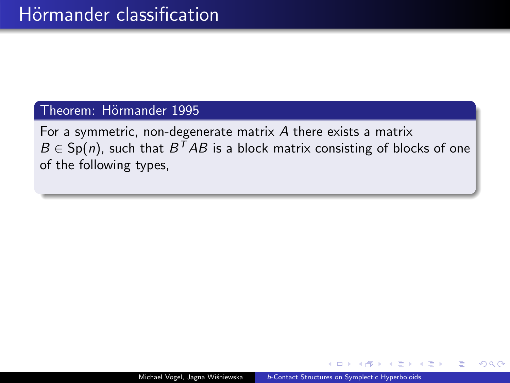For a symmetric, non-degenerate matrix A there exists a matrix  $B \in \mathsf{Sp}(n)$ , such that  $B^TAB$  is a block matrix consisting of blocks of one of the following types,

重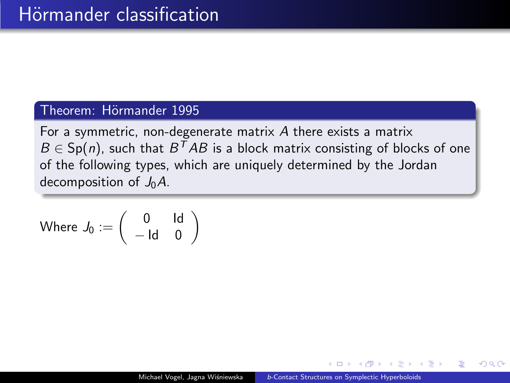For a symmetric, non-degenerate matrix A there exists a matrix  $B \in \mathsf{Sp}(n)$ , such that  $B^TAB$  is a block matrix consisting of blocks of one of the following types, which are uniquely determined by the Jordan decomposition of  $J_0A$ .

$$
\mathsf{Where}\; J_0 := \left(\begin{array}{cc} 0 & \mathsf{Id} \\ -\mathsf{Id} & 0 \end{array}\right).
$$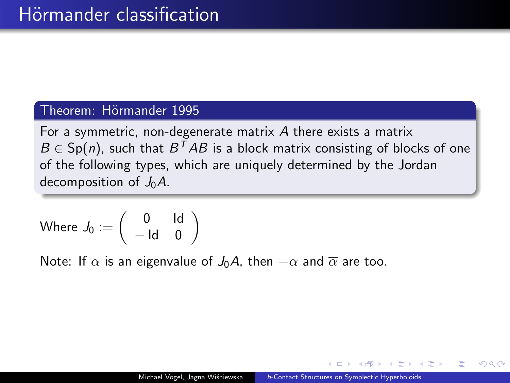For a symmetric, non-degenerate matrix A there exists a matrix  $B \in \mathsf{Sp}(n)$ , such that  $B^TAB$  is a block matrix consisting of blocks of one of the following types, which are uniquely determined by the Jordan decomposition of  $J_0A$ .

Where 
$$
J_0 := \begin{pmatrix} 0 & \text{Id} \\ -\text{Id} & 0 \end{pmatrix}
$$

Note: If  $\alpha$  is an eigenvalue of  $J_0A$ , then  $-\alpha$  and  $\overline{\alpha}$  are too.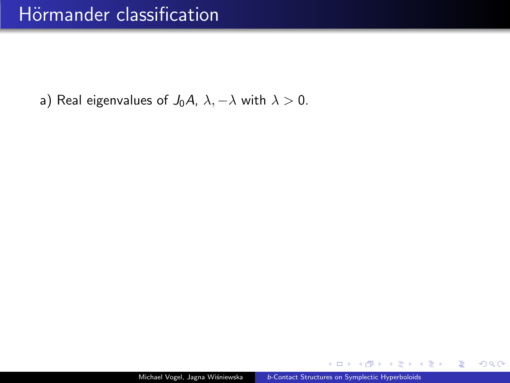a) Real eigenvalues of  $J_0A$ ,  $\lambda$ ,  $-\lambda$  with  $\lambda > 0$ .

 $\leftarrow$   $\Box$ 

メ 重 メー

高山  $299$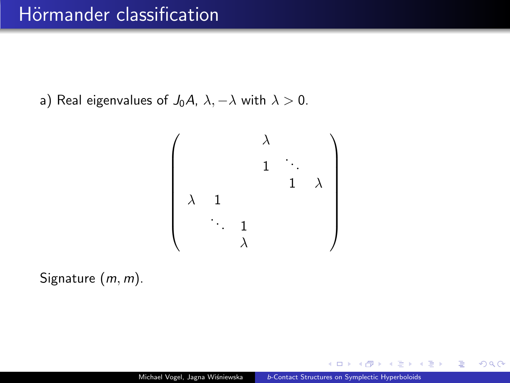a) Real eigenvalues of  $J_0A$ ,  $\lambda$ ,  $-\lambda$  with  $\lambda > 0$ .

$$
\left(\begin{array}{cccc} & & \lambda & & \\ & & 1 & \ddots & \\ & & & 1 & \lambda \\ \lambda & 1 & & & \\ & \ddots & 1 & & \\ & & \lambda & & \end{array}\right)
$$

Signature  $(m, m)$ .

 $\leftarrow$   $\Box$ 

おす 温まし

重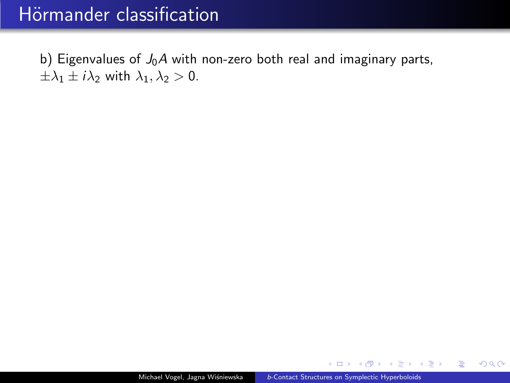## Hörmander classification

b) Eigenvalues of  $J_0A$  with non-zero both real and imaginary parts,  $\pm \lambda_1 \pm i \lambda_2$  with  $\lambda_1, \lambda_2 > 0$ .

 $\leftarrow$   $\Box$ 

 $\rightarrow$   $\equiv$   $\rightarrow$ 

 $\equiv$  990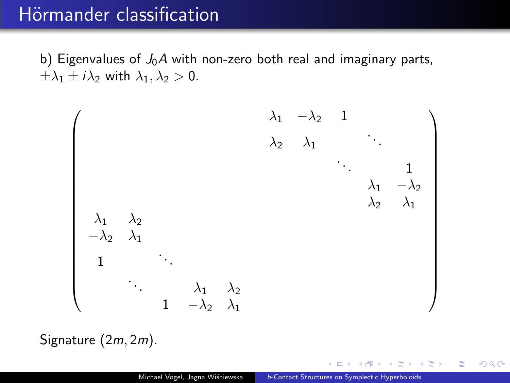### Hörmander classification

b) Eigenvalues of  $J_0A$  with non-zero both real and imaginary parts,  $\pm \lambda_1 \pm i \lambda_2$  with  $\lambda_1, \lambda_2 > 0$ .



Signature (2m, 2m).

- K 로 베이크 -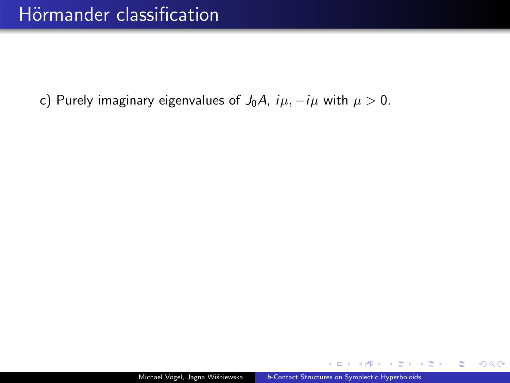c) Purely imaginary eigenvalues of  $J_0A$ ,  $i\mu$ ,  $-i\mu$  with  $\mu > 0$ .

 $\leftarrow$ 

**A Brazil** 

造り  $QQ$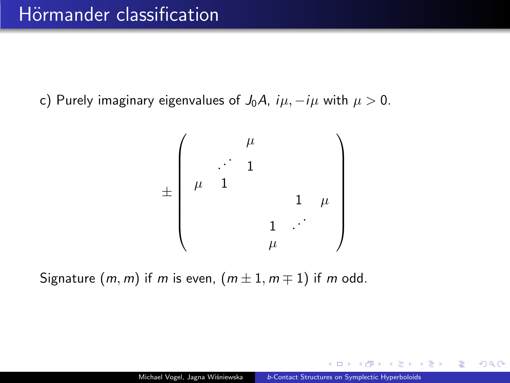c) Purely imaginary eigenvalues of  $J_0A$ ,  $i\mu$ ,  $-i\mu$  with  $\mu > 0$ .

$$
\pm\left(\begin{array}{cccc} & & \mu & & & \\ & & \ddots & 1 & & & \\ \mu & 1 & & & & & \\ & & & 1 & & \mu & \\ & & & & 1 & \cdots & \\ & & & & \mu & & \end{array}\right)
$$

Signature  $(m, m)$  if m is even,  $(m \pm 1, m \mp 1)$  if m odd.

 $\lambda$  in  $\mathbb{R}$  is a set G.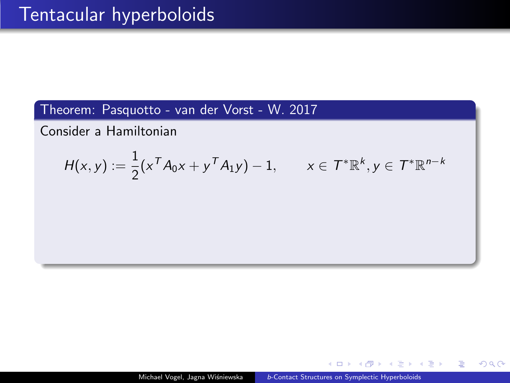Consider a Hamiltonian

$$
H(x,y) := \frac{1}{2} (x^T A_0 x + y^T A_1 y) - 1, \qquad x \in T^* \mathbb{R}^k, y \in T^* \mathbb{R}^{n-k}
$$

 $\leftarrow$   $\Box$ 

 $\mathbf{A} \equiv \mathbf{A} \times \mathbf{A} \equiv \mathbf{A} \times \mathbf{A}$ 

重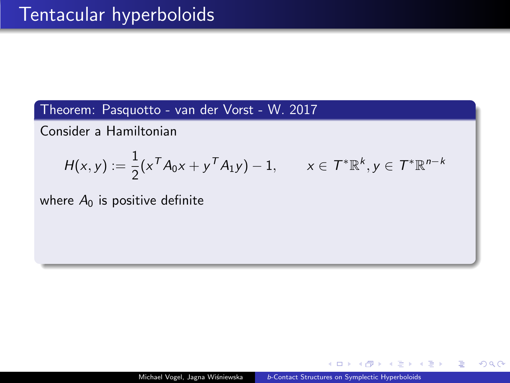Consider a Hamiltonian

$$
H(x,y) := \frac{1}{2}(x^T A_0 x + y^T A_1 y) - 1, \qquad x \in \mathcal{T}^* \mathbb{R}^k, y \in \mathcal{T}^* \mathbb{R}^{n-k}
$$

where  $A_0$  is positive definite

 $\Box$ 

ヨメ メヨメー

 $\equiv$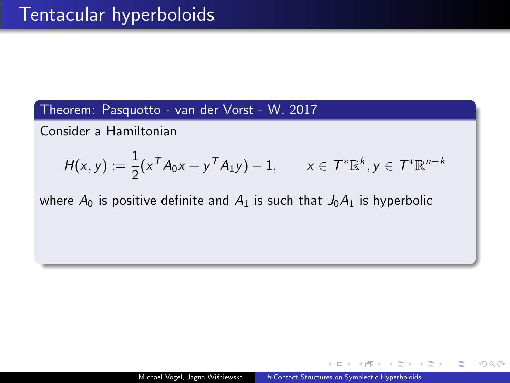Consider a Hamiltonian

$$
H(x,y) := \frac{1}{2}(x^T A_0 x + y^T A_1 y) - 1, \qquad x \in \mathcal{T}^* \mathbb{R}^k, y \in \mathcal{T}^* \mathbb{R}^{n-k}
$$

where  $A_0$  is positive definite and  $A_1$  is such that  $J_0A_1$  is hyperbolic

→ 重 トー

目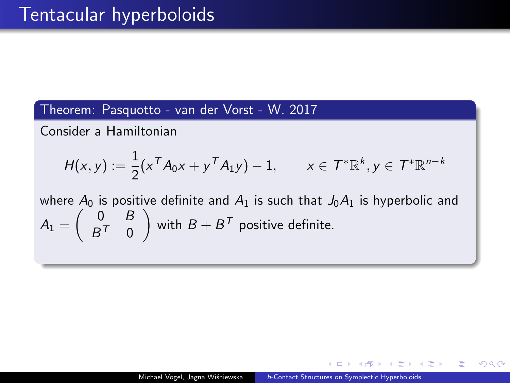Consider a Hamiltonian

$$
H(x,y) := \frac{1}{2}(x^T A_0 x + y^T A_1 y) - 1, \qquad x \in \mathcal{T}^* \mathbb{R}^k, y \in \mathcal{T}^* \mathbb{R}^{n-k}
$$

where  $A_0$  is positive definite and  $A_1$  is such that  $J_0A_1$  is hyperbolic and  $A_1 = \begin{pmatrix} 0 & B \\ B^T & 0 \end{pmatrix}$  $B^{\mathcal{T}}$  0 ) with  $B+B^T$  positive definite.

K Brand Robert

G.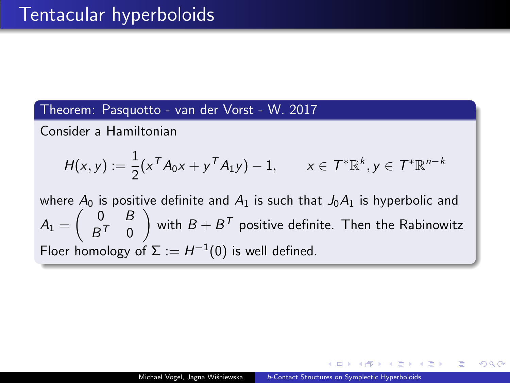Consider a Hamiltonian

$$
H(x,y) := \frac{1}{2}(x^T A_0 x + y^T A_1 y) - 1, \qquad x \in \mathcal{T}^* \mathbb{R}^k, y \in \mathcal{T}^* \mathbb{R}^{n-k}
$$

where  $A_0$  is positive definite and  $A_1$  is such that  $J_0A_1$  is hyperbolic and  $A_1 = \begin{pmatrix} 0 & B \\ B^T & 0 \end{pmatrix}$  $B^{\mathcal{T}}$  0  $\Big)$  with  $B+B^{\mathcal{T}}$  positive definite. Then the Rabinowitz Floer homology of  $\Sigma := H^{-1}(0)$  is well defined.

ヨメ メヨメー

目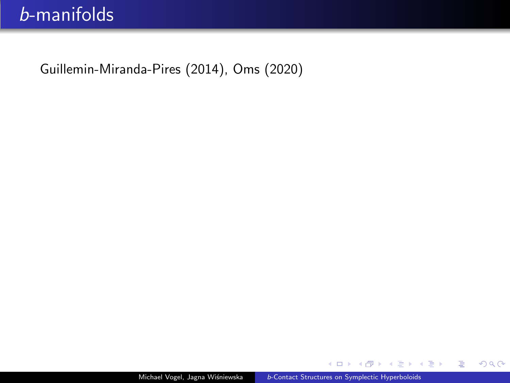4 D F

a  $\sim$  君々 メ君をい

 $E = \Omega Q$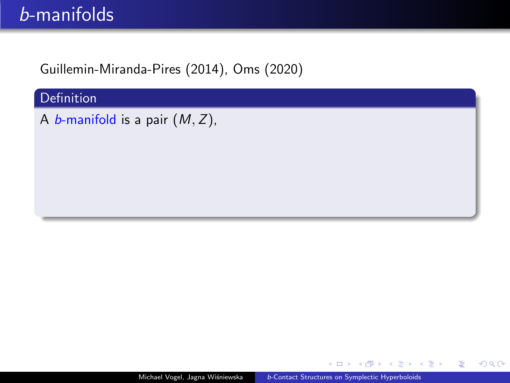**Definition** 

A *b*-manifold is a pair  $(M, Z)$ ,

 $\leftarrow$ 

重き メモメー

高山  $2990$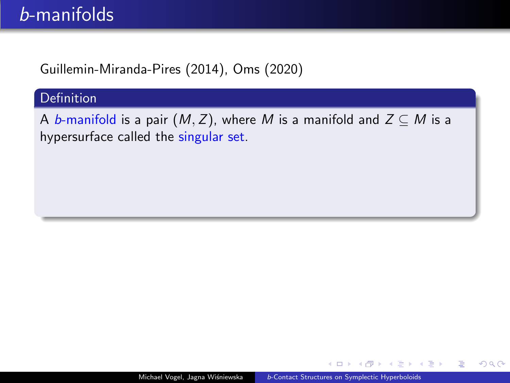### **Definition**

A b-manifold is a pair  $(M, Z)$ , where M is a manifold and  $Z \subseteq M$  is a hypersurface called the singular set.

 $\leftarrow$   $\Box$ 

ミドマミド

G.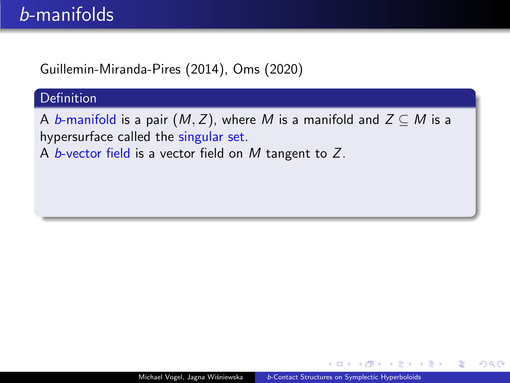#### **Definition**

A b-manifold is a pair  $(M, Z)$ , where M is a manifold and  $Z \subseteq M$  is a hypersurface called the singular set.

A b-vector field is a vector field on  $M$  tangent to  $Z$ .

おしす 語 お

Ε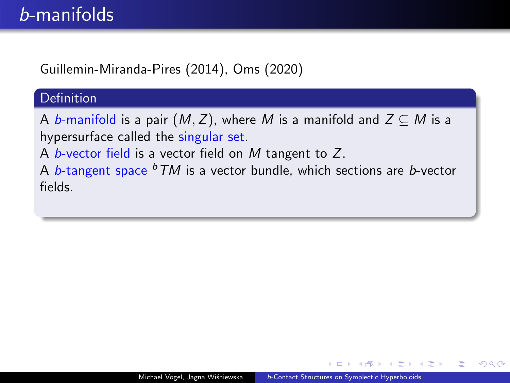### Definition

A b-manifold is a pair  $(M, Z)$ , where M is a manifold and  $Z \subseteq M$  is a hypersurface called the singular set.

A b-vector field is a vector field on  $M$  tangent to  $Z$ .

A b-tangent space  $b$  TM is a vector bundle, which sections are b-vector fields.

重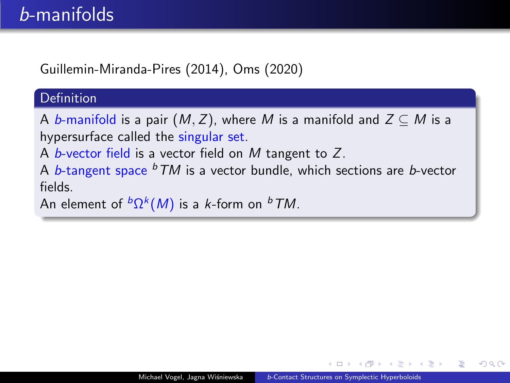#### Definition

A b-manifold is a pair  $(M, Z)$ , where M is a manifold and  $Z \subseteq M$  is a hypersurface called the singular set.

A b-vector field is a vector field on  $M$  tangent to  $Z$ .

A b-tangent space  $b$  TM is a vector bundle, which sections are b-vector fields.

```
An element of {}^b\Omega^k(M) is a k-form on {}^b\mathcal TM.
```
Ε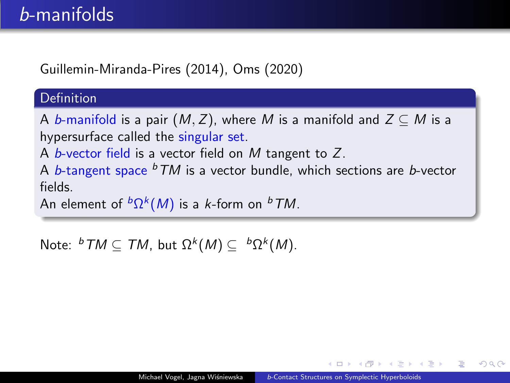### Definition

A b-manifold is a pair  $(M, Z)$ , where M is a manifold and  $Z \subseteq M$  is a hypersurface called the singular set.

A b-vector field is a vector field on  $M$  tangent to  $Z$ .

A b-tangent space  $b$  TM is a vector bundle, which sections are b-vector fields.

An element of  ${}^b\Omega^k(M)$  is a  $k$ -form on  ${}^b\mathcal TM$ .

Note:  ${}^bTM \subseteq TM$ , but  $\Omega^k(M) \subseteq {}^b\Omega^k(M)$ .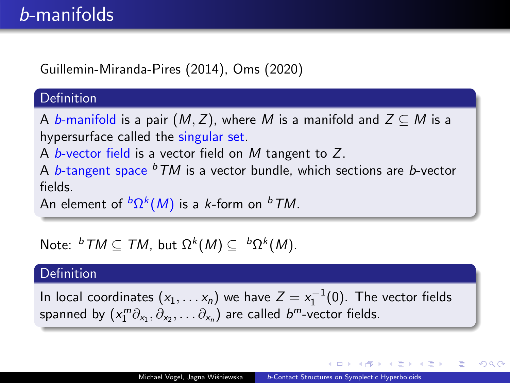#### Definition

A b-manifold is a pair  $(M, Z)$ , where M is a manifold and  $Z \subseteq M$  is a hypersurface called the singular set.

A b-vector field is a vector field on M tangent to  $Z$ .

A b-tangent space  $b$  TM is a vector bundle, which sections are b-vector fields.

An element of  ${}^b\Omega^k(M)$  is a  $k$ -form on  ${}^b\mathcal TM$ .

Note:  ${}^bTM \subseteq TM$ , but  $\Omega^k(M) \subseteq {}^b\Omega^k(M)$ .

#### **Definition**

In local coordinates  $(x_1,...,x_n)$  we have  $Z = x_1^{-1}(0)$ . The vector fields spanned by  $(x_1^m\partial_{x_1},\partial_{x_2},\dots\partial_{x_n})$  are called  $b^m$ -vector fields.

AD > 4 B > 4 B >

目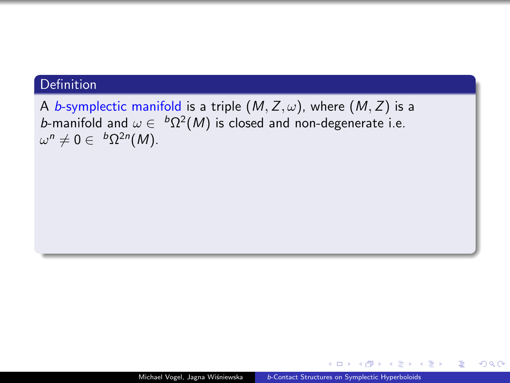A b-symplectic manifold is a triple  $(M, Z, \omega)$ , where  $(M, Z)$  is a *b*-manifold and  $\omega \in {}^b\Omega^2(M)$  is closed and non-degenerate i.e.  $\omega^n\neq 0\in~^b\Omega^{2n}(M).$ 

 $\leftarrow$   $\Box$ 

**A Brazil** 

G-1  $2990$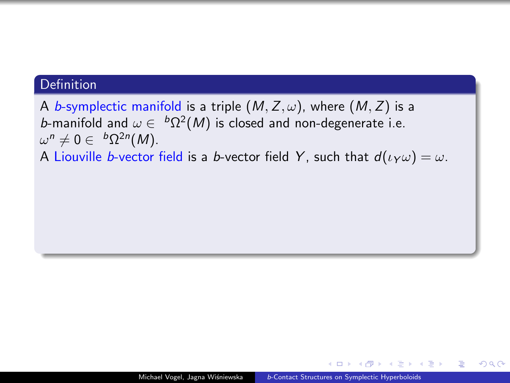A b-symplectic manifold is a triple  $(M, Z, \omega)$ , where  $(M, Z)$  is a *b*-manifold and  $\omega \in {}^b\Omega^2(M)$  is closed and non-degenerate i.e.  $\omega^n\neq 0\in~^b\Omega^{2n}(M).$ 

A Liouville b-vector field is a b-vector field Y, such that  $d(\iota_Y \omega) = \omega$ .

目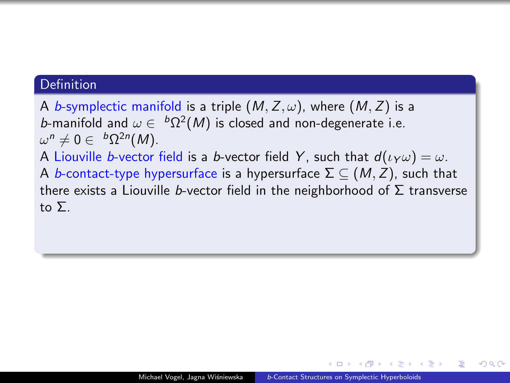A b-symplectic manifold is a triple  $(M, Z, \omega)$ , where  $(M, Z)$  is a *b*-manifold and  $\omega \in {}^b\Omega^2(M)$  is closed and non-degenerate i.e.  $\omega^n\neq 0\in~^b\Omega^{2n}(M).$ A Liouville b-vector field is a b-vector field Y, such that  $d(\iota_Y \omega) = \omega$ . A b-contact-type hypersurface is a hypersurface  $\Sigma \subseteq (M, Z)$ , such that there exists a Liouville b-vector field in the neighborhood of  $\Sigma$  transverse to Σ.

重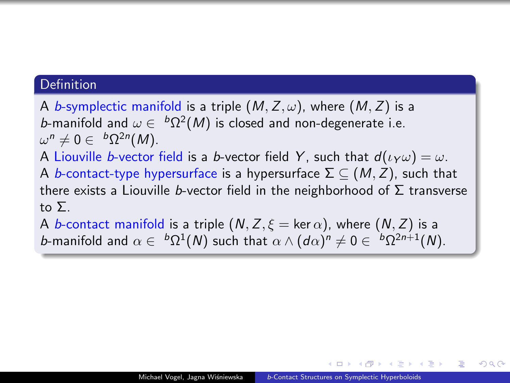A b-symplectic manifold is a triple  $(M, Z, \omega)$ , where  $(M, Z)$  is a *b*-manifold and  $\omega \in {}^b\Omega^2(M)$  is closed and non-degenerate i.e.  $\omega^n\neq 0\in~^b\Omega^{2n}(M).$ A Liouville b-vector field is a b-vector field Y, such that  $d(\iota_Y \omega) = \omega$ . A b-contact-type hypersurface is a hypersurface  $\Sigma \subseteq (M, Z)$ , such that there exists a Liouville b-vector field in the neighborhood of  $\Sigma$  transverse to Σ. A b-contact manifold is a triple  $(N, Z, \xi = \ker \alpha)$ , where  $(N, Z)$  is a

*b*-manifold and  $\alpha \in {}^{b}\Omega^{1}(N)$  such that  $\alpha \wedge (d\alpha)^{n} \neq 0 \in {}^{b}\Omega^{2n+1}(N)$ .

目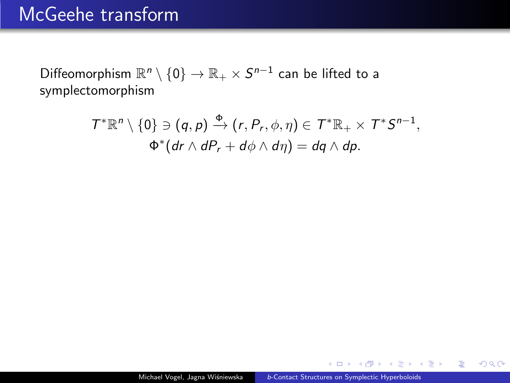## McGeehe transform

Diffeomorphism  $\mathbb{R}^n\setminus\{0\}\to\mathbb{R}_+\times S^{n-1}$  can be lifted to a symplectomorphism

$$
\mathcal{T}^*\mathbb{R}^n \setminus \{0\} \ni (q, p) \xrightarrow{\Phi} (r, P_r, \phi, \eta) \in \mathcal{T}^*\mathbb{R}_+ \times \mathcal{T}^* \mathcal{S}^{n-1},
$$
  

$$
\Phi^*(dr \wedge dP_r + d\phi \wedge d\eta) = dq \wedge dp.
$$

4 D F

個→ <ミ> <ミ> ニミーのA@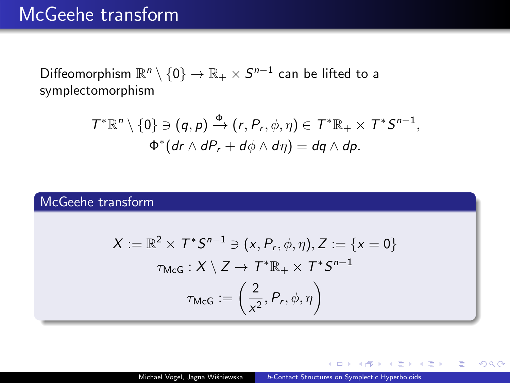### McGeehe transform

Diffeomorphism  $\mathbb{R}^n\setminus\{0\}\to\mathbb{R}_+\times S^{n-1}$  can be lifted to a symplectomorphism

$$
\mathcal{T}^*\mathbb{R}^n \setminus \{0\} \ni (q, p) \xrightarrow{\Phi} (r, P_r, \phi, \eta) \in \mathcal{T}^*\mathbb{R}_+ \times \mathcal{T}^* \mathcal{S}^{n-1},
$$
  

$$
\Phi^*(dr \wedge dP_r + d\phi \wedge d\eta) = dq \wedge dp.
$$

### McGeehe transform

$$
X := \mathbb{R}^2 \times T^* S^{n-1} \ni (x, P_r, \phi, \eta), Z := \{x = 0\}
$$

$$
\tau_{\text{McG}} : X \setminus Z \to T^* \mathbb{R}_+ \times T^* S^{n-1}
$$

$$
\tau_{\text{McG}} := \left(\frac{2}{x^2}, P_r, \phi, \eta\right)
$$

 $-10-1$ 

君主 大唐 おし

 $E = \Omega Q$